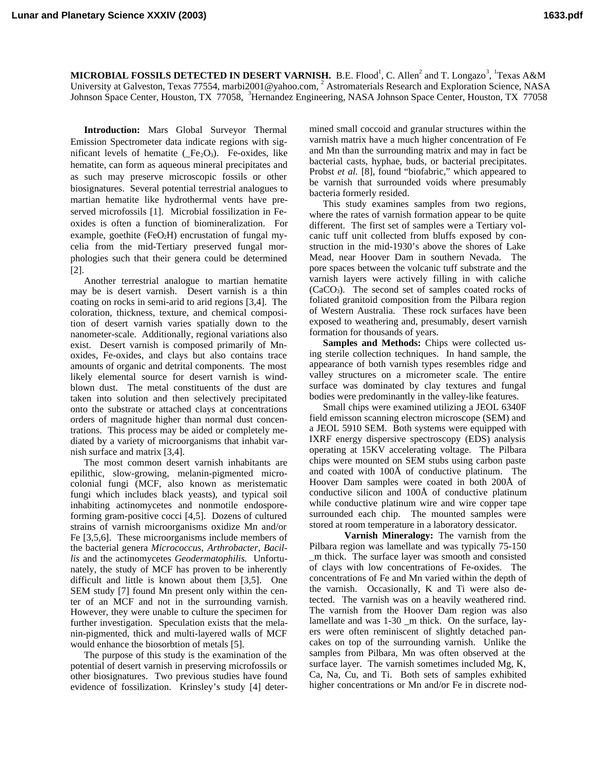MICROBIAL FOSSILS DETECTED IN DESERT VARNISH. B.E. Flood<sup>1</sup>, C. Allen<sup>2</sup> and T. Longazo<sup>3</sup>, <sup>1</sup>Texas A&M University at Galveston, Texas 77554, marbi2001@yahoo.com, <sup>2</sup> Astromaterials Research and Exploration Science, NASA Johnson Space Center, Houston, TX 77058, <sup>3</sup>Hernandez Engineering, NASA Johnson Space Center, Houston, TX 77058

**Introduction:** Mars Global Surveyor Thermal Emission Spectrometer data indicate regions with significant levels of hematite  $(Fe_2O_3)$ . Fe-oxides, like hematite, can form as aqueous mineral precipitates and as such may preserve microscopic fossils or other biosignatures. Several potential terrestrial analogues to martian hematite like hydrothermal vents have preserved microfossils [1]. Microbial fossilization in Feoxides is often a function of biomineralization. For example, goethite (FeO<sub>2</sub>H) encrustation of fungal mycelia from the mid-Tertiary preserved fungal morphologies such that their genera could be determined [2].

Another terrestrial analogue to martian hematite may be is desert varnish. Desert varnish is a thin coating on rocks in semi-arid to arid regions [3,4]. The coloration, thickness, texture, and chemical composition of desert varnish varies spatially down to the nanometer-scale. Additionally, regional variations also exist. Desert varnish is composed primarily of Mnoxides, Fe-oxides, and clays but also contains trace amounts of organic and detrital components. The most likely elemental source for desert varnish is windblown dust. The metal constituents of the dust are taken into solution and then selectively precipitated onto the substrate or attached clays at concentrations orders of magnitude higher than normal dust concentrations. This process may be aided or completely mediated by a variety of microorganisms that inhabit varnish surface and matrix [3,4].

The most common desert varnish inhabitants are epilithic, slow-growing, melanin-pigmented microcolonial fungi (MCF, also known as meristematic fungi which includes black yeasts), and typical soil inhabiting actinomycetes and nonmotile endosporeforming gram-positive cocci [4,5]. Dozens of cultured strains of varnish microorganisms oxidize Mn and/or Fe [3,5,6]. These microorganisms include members of the bacterial genera *Micrococcus*, *Arthrobacter*, *Bacillis* and the actinomycetes *Geodermatophilis*. Unfortunately, the study of MCF has proven to be inherently difficult and little is known about them [3,5]. One SEM study [7] found Mn present only within the center of an MCF and not in the surrounding varnish. However, they were unable to culture the specimen for further investigation. Speculation exists that the melanin-pigmented, thick and multi-layered walls of MCF would enhance the biosorbtion of metals [5].

The purpose of this study is the examination of the potential of desert varnish in preserving microfossils or other biosignatures. Two previous studies have found evidence of fossilization. Krinsley's study [4] determined small coccoid and granular structures within the varnish matrix have a much higher concentration of Fe and Mn than the surrounding matrix and may in fact be bacterial casts, hyphae, buds, or bacterial precipitates. Probst *et al.* [8], found "biofabric," which appeared to be varnish that surrounded voids where presumably bacteria formerly resided.

This study examines samples from two regions, where the rates of varnish formation appear to be quite different. The first set of samples were a Tertiary volcanic tuff unit collected from bluffs exposed by construction in the mid-1930's above the shores of Lake Mead, near Hoover Dam in southern Nevada. The pore spaces between the volcanic tuff substrate and the varnish layers were actively filling in with caliche (CaCO3). The second set of samples coated rocks of foliated granitoid composition from the Pilbara region of Western Australia. These rock surfaces have been exposed to weathering and, presumably, desert varnish formation for thousands of years.

**Samples and Methods:** Chips were collected using sterile collection techniques. In hand sample, the appearance of both varnish types resembles ridge and valley structures on a micrometer scale. The entire surface was dominated by clay textures and fungal bodies were predominantly in the valley-like features.

Small chips were examined utilizing a JEOL 6340F field emisson scanning electron microscope (SEM) and a JEOL 5910 SEM. Both systems were equipped with IXRF energy dispersive spectroscopy (EDS) analysis operating at 15KV accelerating voltage. The Pilbara chips were mounted on SEM stubs using carbon paste and coated with 100Å of conductive platinum. The Hoover Dam samples were coated in both 200Å of conductive silicon and 100Å of conductive platinum while conductive platinum wire and wire copper tape surrounded each chip. The mounted samples were stored at room temperature in a laboratory dessicator.

**Varnish Mineralogy:** The varnish from the Pilbara region was lamellate and was typically 75-150 \_m thick. The surface layer was smooth and consisted of clays with low concentrations of Fe-oxides. The concentrations of Fe and Mn varied within the depth of the varnish. Occasionally, K and Ti were also detected. The varnish was on a heavily weathered rind. The varnish from the Hoover Dam region was also lamellate and was 1-30 \_m thick. On the surface, layers were often reminiscent of slightly detached pancakes on top of the surrounding varnish. Unlike the samples from Pilbara, Mn was often observed at the surface layer. The varnish sometimes included Mg, K, Ca, Na, Cu, and Ti. Both sets of samples exhibited higher concentrations or Mn and/or Fe in discrete nod-